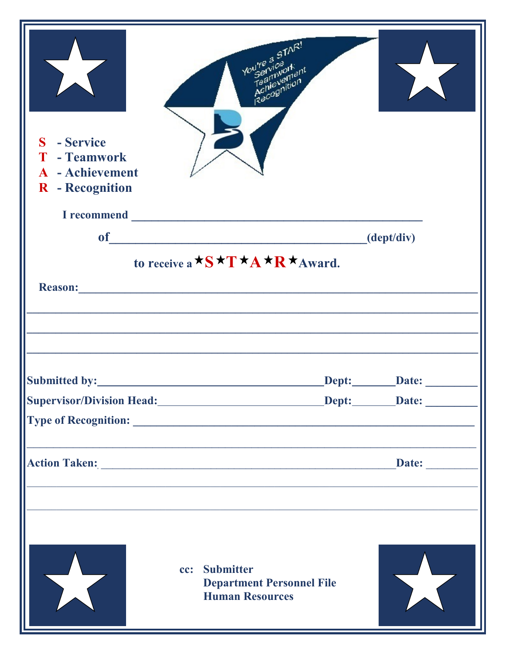| S - Service<br>T - Teamwork<br><b>A</b> - Achievement<br>R - Recognition | You're a STAR!<br>Teamiversitent                                            |                     |
|--------------------------------------------------------------------------|-----------------------------------------------------------------------------|---------------------|
|                                                                          |                                                                             |                     |
| <b>of</b>                                                                |                                                                             | (dept/div)          |
| Reason:                                                                  | to receive a $\star$ S $\star$ T $\star$ A $\star$ R $\star$ Award.         |                     |
|                                                                          |                                                                             | Dept:_________Date: |
|                                                                          |                                                                             |                     |
|                                                                          |                                                                             |                     |
|                                                                          |                                                                             | Date:               |
|                                                                          | cc: Submitter<br><b>Department Personnel File</b><br><b>Human Resources</b> |                     |